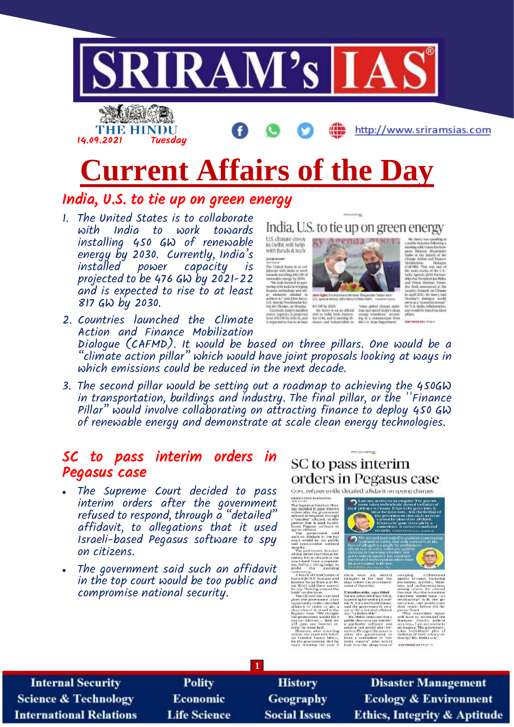

# **Current Affairs of the Day**

### India, U.S. to tie up on green energy

1. The United States is to collaborate with India to work towards installing 450 GW of renewable energy by 2030. Currently, India's power capacity is projected to be 476 GW by 2021-22 and is expected to rise to at least 817 GW by 2030.

India. U.S. to tie up on green energy U.S. climate envoy<br>In Delhi, will help with funds & tech **SACRA ROOME** www.cases<br>The United States is to a mended to<br>at John Kerry,<br>residential Eri<br>s, on Monday.<br>sdir's installed



art (Win 202

ag with the<br>Minimer<br>at the lat<br>an Action t

- power capacky is projected<br>to be 476 CM by 2021-22, and<br>is accounted to the ax at least 2. Countries launched the Climate Action and Finance Mobilization Dialogue (CAFMD). It would be based on three pillars. One would be a "climate action pillar" which would have joint proposals looking at ways in which emissions could be reduced in the next decade.
- 3. The second pillar would be setting out a roadmap to achieving the 450GW in transportation, buildings and industry. The final pillar, or the ''Finance Pillar" would involve collaborating on attracting finance to deploy 450 GW of renewable energy and demonstrate at scale clean energy technologies.

### SC to pass interim orders in Pegasus case

- The Supreme Court decided to pass interim orders after the government refused to respond, through a "detailed" affidavit, to allegations that it used Israeli-based Pegasus software to spy on citizens.
- The government said such an affidavit in the top court would be too public and compromise national security.

# SC to pass interim orders in Pegasus case

TO RESIDENT DESCRIPTION

Govt, refuses to file 'detailed' affidavit on spying charges

**ERREENARAM HAJAGORAL** EDMISSION RADAMORAL CONTROL<br>The Stop decided to pass that the discrete control of the growth ratio<br>ratio decided to pass that the discrete control of the speed of the<br>ratio ratio of the speed of the speed of the speed of t

petitioneus denumi<br>either the Gobinet Se<br>Jile an irlhuach or the led by a shibut judge, to

to New York (CDM) and the Construction of the Second Construction<br>of CDM (CDM) and the Construction of CDM (CDM) and there cannot the<br>Refst Second Construction of CDM (CDM) and the construction<br>of the CDM (CDM) and the can

shar Nettur.<br>terit, that he mein expert

| <b>Internal Security</b>        | <b>Polity</b>       | <b>History</b>       | <b>Disaster Management</b>              |  |  |  |
|---------------------------------|---------------------|----------------------|-----------------------------------------|--|--|--|
| <b>Science &amp; Technology</b> | Economic            | <b>Geography</b>     | <b>Ecology &amp; Environment</b>        |  |  |  |
| <b>International Relations</b>  | <b>Life Science</b> | <b>Social Issues</b> | <b>Ethics, Integrity &amp; Aptitude</b> |  |  |  |

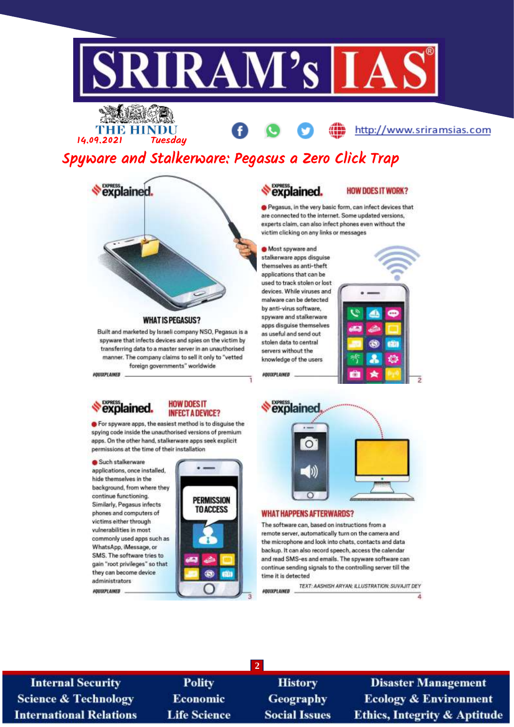

### **THE HINDU** 14.09.2021 **Tuesdau**

http://www.sriramsias.com

# Spyware and Stalkerware: Pegasus a Zero Click Trap



#### **WHAT IS PEGASUS?**

Built and marketed by Israeli company NSO, Pegasus is a spyware that infects devices and spies on the victim by transferring data to a master server in an unauthorised manner. The company claims to sell it only to "vetted foreign governments" worldwide

G For spyware apps, the easiest method is to disquise the spying code inside the unauthorised versions of premium apps. On the other hand, stalkerware apps seek explicit

permissions at the time of their installation

**HOW DOES IT** 

**INFECT A DEVICE?** 

**PERMISSION** 

**TO ACCESS** 

**AGUIXPLAINED** 

explained.

Such stalkerware applications, once installed.

hide themselves in the background, from where they continue functioning.

Similarly, Pegasus infects

phones and computers of

commonly used apps such as

victims either through

vulnerabilities in most

WhatsApp, iMessage, or

they can become device

administrators

**POULEPLAINED** 

SMS. The software tries to

gain "root privileges" so that

# *<u><b>SPRESS</u>*

#### **HOW DOES IT WORK?**

Pegasus, in the very basic form, can infect devices that are connected to the internet. Some updated versions, experts claim, can also infect phones even without the victim clicking on any links or messages

Most spyware and stalkerware apps disguise themselves as anti-theft applications that can be used to track stolen or lost devices. While viruses and malware can be detected. by anti-virus software, spyware and stalkerware apps disquise themselves as useful and send out stolen data to central servers without the knowledge of the users **AQUIXPLAINED** 





#### **WHAT HAPPENS AFTERWARDS?**

The software can, based on instructions from a remote server, automatically turn on the camera and the microphone and look into chats, contacts and data backup. It can also record speech, access the calendar and read SMS-es and emails. The spyware software can continue sending signals to the controlling server till the time it is detected

TEXT: AASHISH ARYAN; ILLUSTRATION: SUVAJIT DEY **AQUIXPLAINED** 

**Internal Security Science & Technology International Relations** 

**Polity Economic Life Science** 

**History Geography Social Issues** 

 $\overline{2}$ 

**Disaster Management Ecology & Environment Ethics, Integrity & Aptitude** 

ā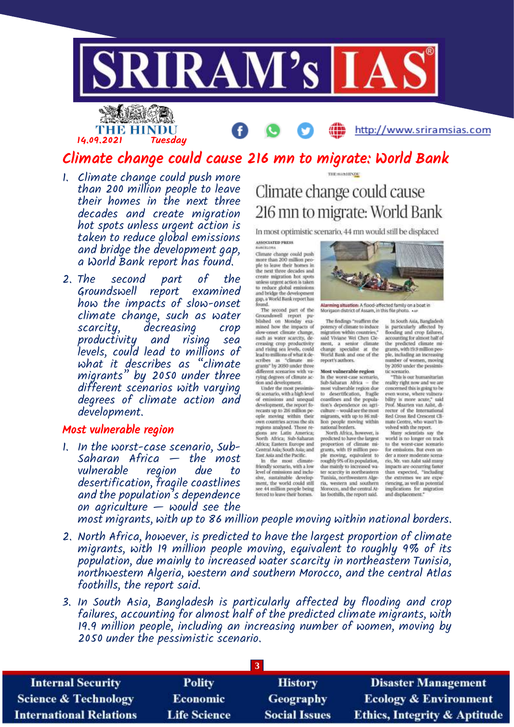

## Climate change could cause 216 mn to migrate: World Bank

1. Climate change could push more than 200 million people to leave their homes in the next three decades and create migration hot spots unless urgent action is taken to reduce global emissions and bridge the development gap, a World Bank report has found.

14.09.2021 Tuesday

2. The second part of the Groundswell report examined how the impacts of slow-onset climate change, such as water scarcity, decreasing crop productivity and rising sea levels, could lead to millions of what it describes as "climate migrants" by 2050 under three different scenarios with varying degrees of climate action and development.

#### Most vulnerable region

1. In the worst-case scenario, Sub-Saharan Africa  $-$  the most vulnerable region due to desertification, fragile coastlines and the population's dependence on agriculture  $-$  would see the

# Climate change could cause 216 mn to migrate: World Bank

THE SENITIVOL

In most optimistic scenario, 44 mn would still be displaced

**ASSOCIATED PRESS** 

Climate change could push<br>more than 200 million people to leave their homes in<br>the next three decades and<br>create migration hot spots unless urgent action is taken<br>to reduce global emissions<br>and bridge the development

and bridge the development<br>grap, a World Bank report has<br>found.<br>The second part of the<br>corondswell report pure<br>bished on Monday examined bow the impacts of<br>such as well results.<br>such as water scarcity, de-<br>creasing crop pr lead to millions of what it describes<br>scribes as "climate mi-<br>grants" by 2050 under three<br>different scenarios with varying degrees of climate ac-<br>tion and development.<br>Under the most pessimis-

their use most pessimis-<br>tic scenario, with a high level<br>of emissions and unequal<br>development, the report fobecause to 216 million people<br>ople moving within their<br>own countries across the sky<br>regions analysed. Those regiors are Latin America;<br>North Africa; Sub-Saharan Africa: Eastern Europe and Central Asia; South Asia; and

Central Asia South Asia; and<br>
East Asia and the Pacific.<br>
In the most climate-<br>
friendly scenario, with a low<br>
level of emissions and inclu-<br>
sive, sustainable development, the world could still see 44 million people being<br>forced to leave their homes.



Alarming situation: A flood-affected family on a boat in<br>Morigaan district of Assam, in this file photo. . w

The findings "reaffirm the<br>potency of climate to induce<br>migration within countries," said Viviane Wei Chen Cle ment, a senior climate<br>change specialist at the<br>World Bank and one of the report's authors.

Most vulnerable region In the worst-case scenario,<br>Sub-Saharan Africa - the<br>most valnerable region due to desertification, fragile<br>coastlines and the popula-<br>tion's dependence on agriculture ~ would see the most migrants, with up to 86 mil-<br>hon people moving within<br>national horders.

North Africa, however, is<br>predicted to have the largest<br>proportion of climate migrants, with 19 million people moving, equivalent to roughly 9% of its population, due mainly to increased water scarcity in northeastern<br>Tunisia, northwestern Algeria, western and southern Moroccu, and the central Atlas foothills, the report said.

In South Asia, Bangladesh<br>is particularly affected by<br>flooding and crop failures, accounting for almost half of<br>the predicted climate migrants, with 19.9 million people, including an increasing<br>mumber of women, moving<br>by 2050 under the pessimistic scenario.

"This is our humanitarian<br>reality right now and we are<br>concerned this is going to be even worse, where vulnera-<br>bility is more acute," said<br>Prof. Moarten van Aalst, di-Fector of the International<br>Red Cross Red Crescent Climate Centre, who wasn't involved with the report.

Many scientists say the<br>world is no longer on track to the worst-case scenario for emissions. But even under a more moderate scenario, Mr. van Aalst said many impacts are occurring faster<br>than expected, "including<br>the extremes we are experiencing, as well as potential implications for migration

most migrants, with up to 86 million people moving within national borders.

- 2. North Africa, however, is predicted to have the largest proportion of climate migrants, with 19 million people moving, equivalent to roughly 9% of its population, due mainly to increased water scarcity in northeastern Tunisia, northwestern Algeria, western and southern Morocco, and the central Atlas foothills, the report said.
- 3. In South Asia, Bangladesh is particularly affected by flooding and crop failures, accounting for almost half of the predicted climate migrants, with 19.9 million people, including an increasing number of women, moving by 2050 under the pessimistic scenario.

| <b>Polity</b>       | <b>History</b>       | <b>Disaster Management</b>              |  |  |  |
|---------------------|----------------------|-----------------------------------------|--|--|--|
| <b>Economic</b>     | <b>Geography</b>     | <b>Ecology &amp; Environment</b>        |  |  |  |
| <b>Life Science</b> | <b>Social Issues</b> | <b>Ethics, Integrity &amp; Aptitude</b> |  |  |  |
|                     |                      |                                         |  |  |  |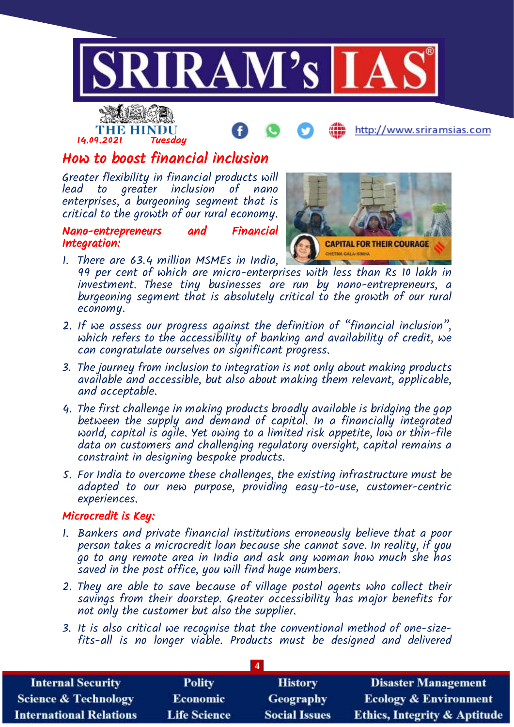



http://www.sriramsias.com

# How to boost financial inclusion

Greater flexibility in financial products will lead to greater inclusion of nano enterprises, a burgeoning segment that is critical to the growth of our rural economy.

Nano-entrepreneurs and Financial Integration:



- 1. There are 63.4 million MSMEs in India, 99 per cent of which are micro-enterprises with less than Rs 10 lakh in investment. These tiny businesses are run by nano-entrepreneurs, a burgeoning segment that is absolutely critical to the growth of our rural economy.
- 2. If we assess our progress against the definition of "financial inclusion", which refers to the accessibility of banking and availability of credit, we can congratulate ourselves on significant progress.
- 3. The journey from inclusion to integration is not only about making products available and accessible, but also about making them relevant, applicable, and acceptable.
- 4. The first challenge in making products broadly available is bridging the gap between the supply and demand of capital. In a financially integrated world, capital is agile. Yet owing to a limited risk appetite, low or thin-file data on customers and challenging regulatory oversight, capital remains a constraint in designing bespoke products.
- 5. For India to overcome these challenges, the existing infrastructure must be adapted to our new purpose, providing easy-to-use, customer-centric experiences.

### Microcredit is Key:

- 1. Bankers and private financial institutions erroneously believe that a poor person takes a microcredit loan because she cannot save. In reality, if you go to any remote area in India and ask any woman how much she has saved in the post office, you will find huge numbers.
- 2. They are able to save because of village postal agents who collect their savings from their doorstep. Greater accessibility has major benefits for not only the customer but also the supplier.
- 3. It is also critical we recognise that the conventional method of one-sizefits-all is no longer viable. Products must be designed and delivered

| $\overline{4}$                  |                     |                      |                                         |  |  |
|---------------------------------|---------------------|----------------------|-----------------------------------------|--|--|
| <b>Internal Security</b>        | <b>Polity</b>       | <b>History</b>       | <b>Disaster Management</b>              |  |  |
| <b>Science &amp; Technology</b> | <b>Economic</b>     | Geography            | <b>Ecology &amp; Environment</b>        |  |  |
| <b>International Relations</b>  | <b>Life Science</b> | <b>Social Issues</b> | <b>Ethics, Integrity &amp; Aptitude</b> |  |  |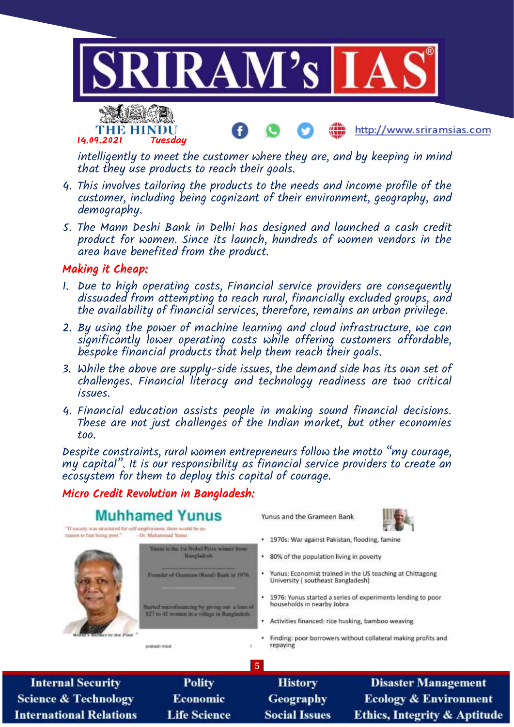

intelligently to meet the customer where they are, and by keeping in mind that they use products to reach their goals.

- 4. This involves tailoring the products to the needs and income profile of the customer, including being cognizant of their environment, geography, and demography.
- 5. The Mann Deshi Bank in Delhi has designed and launched a cash credit product for women. Since its launch, hundreds of women vendors in the area have benefited from the product.

### Making it Cheap:

**International Relations** 

- 1. Due to high operating costs, Financial service providers are consequently dissuaded from attempting to reach rural, financially excluded groups, and the availability of financial services, therefore, remains an urban privilege.
- 2. By using the power of machine learning and cloud infrastructure, we can significantly lower operating costs while offering customers affordable, bespoke financial products that help them reach their goals.
- 3. While the above are supply-side issues, the demand side has its own set of challenges. Financial literacy and technology readiness are two critical issues.
- 4. Financial education assists people in making sound financial decisions. These are not just challenges of the Indian market, but other economies too.

Despite constraints, rural women entrepreneurs follow the motto "my courage, my capital". It is our responsibility as financial service providers to create an ecosystem for them to deploy this capital of courage.

### Micro Credit Revolution in Bangladesh:

**Life Science** 



**Social Issues** 

**Ethics, Integrity & Aptitude**